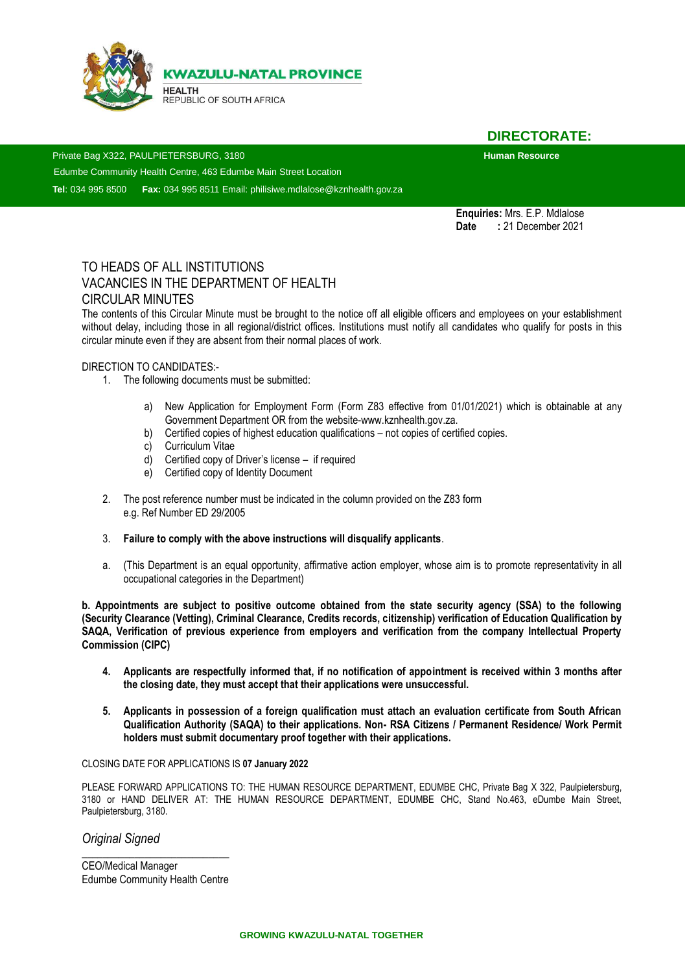

**DIRECTORATE:** 

Private Bag X322, PAULPIETERSBURG, 3180<br>**Human Resource** 

Edumbe Community Health Centre, 463 Edumbe Main Street Location

**Tel**: 034 995 8500 **Fax:** 034 995 8511 Email: philisiwe.mdlalose@kznhealth.gov.za

**Enquiries:** Mrs. E.P. Mdlalose **Date :** 21 December 2021

# TO HEADS OF ALL INSTITUTIONS VACANCIES IN THE DEPARTMENT OF HEALTH CIRCULAR MINUTES

The contents of this Circular Minute must be brought to the notice off all eligible officers and employees on your establishment without delay, including those in all regional/district offices. Institutions must notify all candidates who qualify for posts in this circular minute even if they are absent from their normal places of work.

#### DIRECTION TO CANDIDATES:-

- 1. The following documents must be submitted:
	- a) New Application for Employment Form (Form Z83 effective from 01/01/2021) which is obtainable at any Government Department OR from the website-www.kznhealth.gov.za.
	- b) Certified copies of highest education qualifications not copies of certified copies.
	- c) Curriculum Vitae
	- d) Certified copy of Driver's license if required
	- e) Certified copy of Identity Document
- 2. The post reference number must be indicated in the column provided on the Z83 form e.g. Ref Number ED 29/2005
- 3. **Failure to comply with the above instructions will disqualify applicants**.
- a. (This Department is an equal opportunity, affirmative action employer, whose aim is to promote representativity in all occupational categories in the Department)

**b. Appointments are subject to positive outcome obtained from the state security agency (SSA) to the following (Security Clearance (Vetting), Criminal Clearance, Credits records, citizenship) verification of Education Qualification by SAQA, Verification of previous experience from employers and verification from the company Intellectual Property Commission (CIPC)** 

- **4. Applicants are respectfully informed that, if no notification of appointment is received within 3 months after the closing date, they must accept that their applications were unsuccessful.**
- **5. Applicants in possession of a foreign qualification must attach an evaluation certificate from South African Qualification Authority (SAQA) to their applications. Non- RSA Citizens / Permanent Residence/ Work Permit holders must submit documentary proof together with their applications.**

#### CLOSING DATE FOR APPLICATIONS IS **07 January 2022**

PLEASE FORWARD APPLICATIONS TO: THE HUMAN RESOURCE DEPARTMENT, EDUMBE CHC, Private Bag X 322, Paulpietersburg, 3180 or HAND DELIVER AT: THE HUMAN RESOURCE DEPARTMENT, EDUMBE CHC, Stand No.463, eDumbe Main Street, Paulpietersburg, 3180.

*Original Signed* 

*\_\_\_\_\_\_\_\_\_\_\_\_\_\_\_\_\_\_\_\_\_\_\_\_\_\_\_\_* CEO/Medical Manager Edumbe Community Health Centre